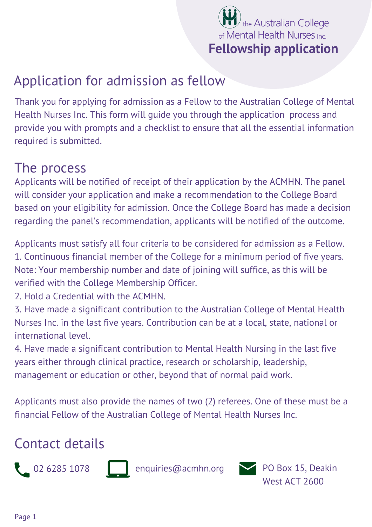

## Application for admission as fellow

Thank you for applying for admission as a Fellow to the Australian College of Mental Health Nurses Inc. This form will guide you through the application process and provide you with prompts and a checklist to ensure that all the essential information required is submitted.

#### The process

Applicants will be notified of receipt of their application by the ACMHN. The panel will consider your application and make a recommendation to the College Board based on your eligibility for admission. Once the College Board has made a decision regarding the panel's recommendation, applicants will be notified of the outcome.

Applicants must satisfy all four criteria to be considered for admission as a Fellow. 1. Continuous financial member of the College for a minimum period of five years. Note: Your membership number and date of joining will suffice, as this will be verified with the College Membership Officer.

2. Hold a Credential with the ACMHN.

3. Have made a significant contribution to the Australian College of Mental Health Nurses Inc. in the last five years. Contribution can be at a local, state, national or international level.

4. Have made a significant contribution to Mental Health Nursing in the last five years either through clinical practice, research or scholarship, leadership, management or education or other, beyond that of normal paid work.

Applicants must also provide the names of two (2) referees. One of these must be a financial Fellow of the Australian College of Mental Health Nurses Inc.

#### Contact details



02 6285 1078 enquiries@acmhn.org PO Box 15, Deakin



West ACT 2600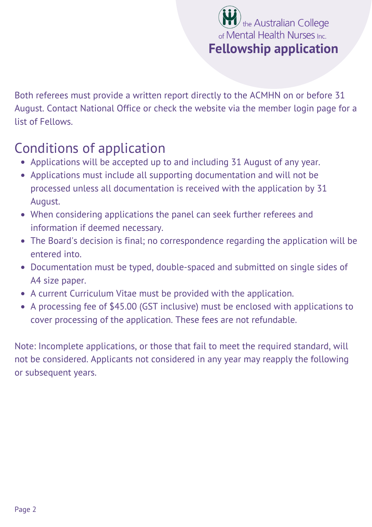

Both referees must provide a written report directly to the ACMHN on or before 31 August. Contact National Office or check the website via the [member](https://acmhn.org/login/) login page for a list of Fellows.

# Conditions of application

- Applications will be accepted up to and including 31 August of any year.
- Applications must include all supporting documentation and will not be processed unless all documentation is received with the application by 31 August.
- When considering applications the panel can seek further referees and information if deemed necessary.
- The Board's decision is final; no correspondence regarding the application will be entered into.
- Documentation must be typed, double-spaced and submitted on single sides of A4 size paper.
- A current Curriculum Vitae must be provided with the application.
- A processing fee of \$45.00 (GST inclusive) must be enclosed with applications to cover processing of the application. These fees are not refundable.

Note: Incomplete applications, or those that fail to meet the required standard, will not be considered. Applicants not considered in any year may reapply the following or subsequent years.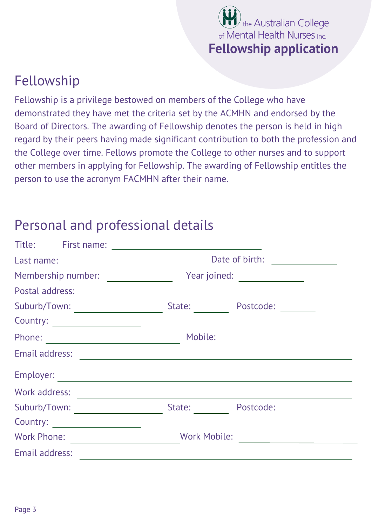

## Fellowship

Fellowship is a privilege bestowed on members of the College who have demonstrated they have met the criteria set by the ACMHN and endorsed by the Board of Directors. The awarding of Fellowship denotes the person is held in high regard by their peers having made significant contribution to both the profession and the College over time. Fellows promote the College to other nurses and to support other members in applying for Fellowship. The awarding of Fellowship entitles the person to use the acronym FACMHN after their name.

#### Personal and professional details

|                                    | Date of birth: <u>______________</u> |  |
|------------------------------------|--------------------------------------|--|
| Membership number: _______________ | Year joined: _________________       |  |
| Postal address:                    |                                      |  |
|                                    | State:<br>Postcode:                  |  |
|                                    |                                      |  |
|                                    | Mobile:                              |  |
| Email address:                     |                                      |  |
|                                    |                                      |  |
| Work address:                      |                                      |  |
| Suburb/Town:                       | State:<br>Postcode:                  |  |
| Country:                           |                                      |  |
| <b>Work Phone:</b>                 | <b>Work Mobile:</b>                  |  |
| Email address:                     |                                      |  |
|                                    |                                      |  |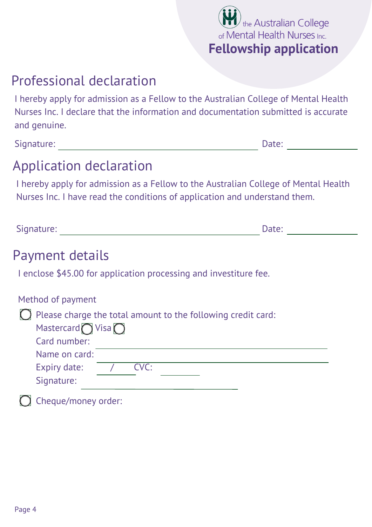

## Professional declaration

I hereby apply for admission as a Fellow to the Australian College of Mental Health Nurses Inc. I declare that the information and documentation submitted is accurate and genuine.

Signature: Date:

# Application declaration

I hereby apply for admission as a Fellow to the Australian College of Mental Health Nurses Inc. I have read the conditions of application and understand them.

Signature: 2008 and 2008 and 2008 and 2008 and 2008 and 2008 and 2008 and 2008 and 2008 and 2008 and 2008 and 2008 and 2008 and 2008 and 2008 and 2008 and 2008 and 2008 and 2008 and 2008 and 2008 and 2008 and 2008 and 2008

#### Payment details

I enclose \$45.00 for application processing and investiture fee.

| Method of payment                                                       |  |  |
|-------------------------------------------------------------------------|--|--|
| $\bigcirc$ Please charge the total amount to the following credit card: |  |  |
| Mastercard $\bigcirc$ Visa $\bigcirc$                                   |  |  |
| Card number:                                                            |  |  |
| Name on card:                                                           |  |  |
| CVC:<br>Expiry date:                                                    |  |  |
| Signature:                                                              |  |  |
| Cheque/money order:                                                     |  |  |